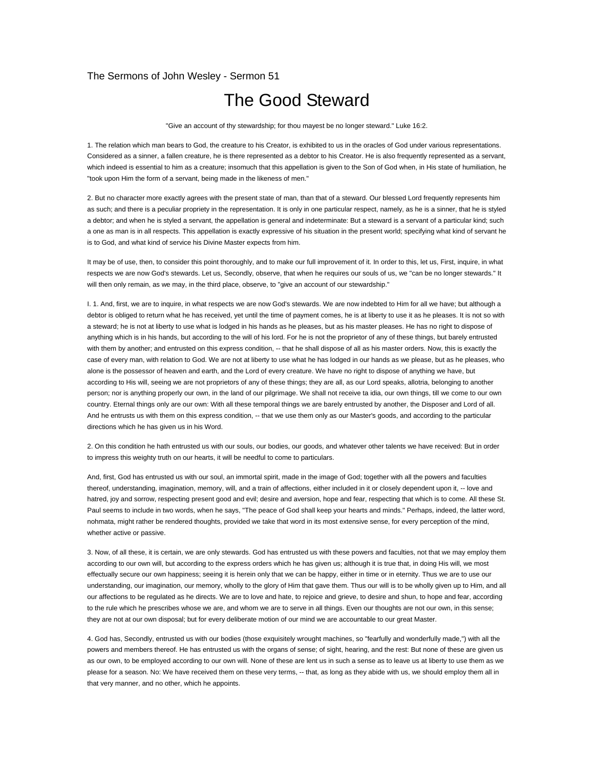## The Sermons of John Wesley - Sermon 51

## The Good Steward

"Give an account of thy stewardship; for thou mayest be no longer steward." Luke 16:2.

1. The relation which man bears to God, the creature to his Creator, is exhibited to us in the oracles of God under various representations. Considered as a sinner, a fallen creature, he is there represented as a debtor to his Creator. He is also frequently represented as a servant, which indeed is essential to him as a creature; insomuch that this appellation is given to the Son of God when, in His state of humiliation, he "took upon Him the form of a servant, being made in the likeness of men."

2. But no character more exactly agrees with the present state of man, than that of a steward. Our blessed Lord frequently represents him as such; and there is a peculiar propriety in the representation. It is only in one particular respect, namely, as he is a sinner, that he is styled a debtor; and when he is styled a servant, the appellation is general and indeterminate: But a steward is a servant of a particular kind; such a one as man is in all respects. This appellation is exactly expressive of his situation in the present world; specifying what kind of servant he is to God, and what kind of service his Divine Master expects from him.

It may be of use, then, to consider this point thoroughly, and to make our full improvement of it. In order to this, let us, First, inquire, in what respects we are now God's stewards. Let us, Secondly, observe, that when he requires our souls of us, we "can be no longer stewards." It will then only remain, as we may, in the third place, observe, to "give an account of our stewardship."

I. 1. And, first, we are to inquire, in what respects we are now God's stewards. We are now indebted to Him for all we have; but although a debtor is obliged to return what he has received, yet until the time of payment comes, he is at liberty to use it as he pleases. It is not so with a steward; he is not at liberty to use what is lodged in his hands as he pleases, but as his master pleases. He has no right to dispose of anything which is in his hands, but according to the will of his lord. For he is not the proprietor of any of these things, but barely entrusted with them by another; and entrusted on this express condition, -- that he shall dispose of all as his master orders. Now, this is exactly the case of every man, with relation to God. We are not at liberty to use what he has lodged in our hands as we please, but as he pleases, who alone is the possessor of heaven and earth, and the Lord of every creature. We have no right to dispose of anything we have, but according to His will, seeing we are not proprietors of any of these things; they are all, as our Lord speaks, allotria, belonging to another person; nor is anything properly our own, in the land of our pilgrimage. We shall not receive ta idia, our own things, till we come to our own country. Eternal things only are our own: With all these temporal things we are barely entrusted by another, the Disposer and Lord of all. And he entrusts us with them on this express condition, -- that we use them only as our Master's goods, and according to the particular directions which he has given us in his Word.

2. On this condition he hath entrusted us with our souls, our bodies, our goods, and whatever other talents we have received: But in order to impress this weighty truth on our hearts, it will be needful to come to particulars.

And, first, God has entrusted us with our soul, an immortal spirit, made in the image of God; together with all the powers and faculties thereof, understanding, imagination, memory, will, and a train of affections, either included in it or closely dependent upon it, -- love and hatred, joy and sorrow, respecting present good and evil; desire and aversion, hope and fear, respecting that which is to come. All these St. Paul seems to include in two words, when he says, "The peace of God shall keep your hearts and minds." Perhaps, indeed, the latter word, nohmata, might rather be rendered thoughts, provided we take that word in its most extensive sense, for every perception of the mind, whether active or passive.

3. Now, of all these, it is certain, we are only stewards. God has entrusted us with these powers and faculties, not that we may employ them according to our own will, but according to the express orders which he has given us; although it is true that, in doing His will, we most effectually secure our own happiness; seeing it is herein only that we can be happy, either in time or in eternity. Thus we are to use our understanding, our imagination, our memory, wholly to the glory of Him that gave them. Thus our will is to be wholly given up to Him, and all our affections to be regulated as he directs. We are to love and hate, to rejoice and grieve, to desire and shun, to hope and fear, according to the rule which he prescribes whose we are, and whom we are to serve in all things. Even our thoughts are not our own, in this sense; they are not at our own disposal; but for every deliberate motion of our mind we are accountable to our great Master.

4. God has, Secondly, entrusted us with our bodies (those exquisitely wrought machines, so "fearfully and wonderfully made,") with all the powers and members thereof. He has entrusted us with the organs of sense; of sight, hearing, and the rest: But none of these are given us as our own, to be employed according to our own will. None of these are lent us in such a sense as to leave us at liberty to use them as we please for a season. No: We have received them on these very terms, -- that, as long as they abide with us, we should employ them all in that very manner, and no other, which he appoints.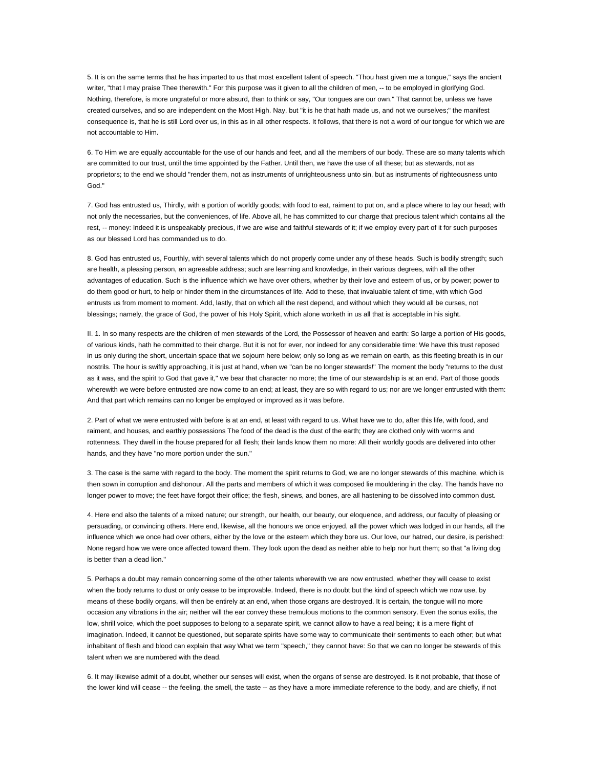5. It is on the same terms that he has imparted to us that most excellent talent of speech. "Thou hast given me a tongue," says the ancient writer, "that I may praise Thee therewith." For this purpose was it given to all the children of men, -- to be employed in glorifying God. Nothing, therefore, is more ungrateful or more absurd, than to think or say, "Our tongues are our own." That cannot be, unless we have created ourselves, and so are independent on the Most High. Nay, but "it is he that hath made us, and not we ourselves;" the manifest consequence is, that he is still Lord over us, in this as in all other respects. It follows, that there is not a word of our tongue for which we are not accountable to Him.

6. To Him we are equally accountable for the use of our hands and feet, and all the members of our body. These are so many talents which are committed to our trust, until the time appointed by the Father. Until then, we have the use of all these; but as stewards, not as proprietors; to the end we should "render them, not as instruments of unrighteousness unto sin, but as instruments of righteousness unto God."

7. God has entrusted us, Thirdly, with a portion of worldly goods; with food to eat, raiment to put on, and a place where to lay our head; with not only the necessaries, but the conveniences, of life. Above all, he has committed to our charge that precious talent which contains all the rest, -- money: Indeed it is unspeakably precious, if we are wise and faithful stewards of it; if we employ every part of it for such purposes as our blessed Lord has commanded us to do.

8. God has entrusted us, Fourthly, with several talents which do not properly come under any of these heads. Such is bodily strength; such are health, a pleasing person, an agreeable address; such are learning and knowledge, in their various degrees, with all the other advantages of education. Such is the influence which we have over others, whether by their love and esteem of us, or by power; power to do them good or hurt, to help or hinder them in the circumstances of life. Add to these, that invaluable talent of time, with which God entrusts us from moment to moment. Add, lastly, that on which all the rest depend, and without which they would all be curses, not blessings; namely, the grace of God, the power of his Holy Spirit, which alone worketh in us all that is acceptable in his sight.

II. 1. In so many respects are the children of men stewards of the Lord, the Possessor of heaven and earth: So large a portion of His goods, of various kinds, hath he committed to their charge. But it is not for ever, nor indeed for any considerable time: We have this trust reposed in us only during the short, uncertain space that we sojourn here below; only so long as we remain on earth, as this fleeting breath is in our nostrils. The hour is swiftly approaching, it is just at hand, when we "can be no longer stewards!" The moment the body "returns to the dust as it was, and the spirit to God that gave it," we bear that character no more; the time of our stewardship is at an end. Part of those goods wherewith we were before entrusted are now come to an end; at least, they are so with regard to us; nor are we longer entrusted with them: And that part which remains can no longer be employed or improved as it was before.

2. Part of what we were entrusted with before is at an end, at least with regard to us. What have we to do, after this life, with food, and raiment, and houses, and earthly possessions The food of the dead is the dust of the earth; they are clothed only with worms and rottenness. They dwell in the house prepared for all flesh; their lands know them no more: All their worldly goods are delivered into other hands, and they have "no more portion under the sun."

3. The case is the same with regard to the body. The moment the spirit returns to God, we are no longer stewards of this machine, which is then sown in corruption and dishonour. All the parts and members of which it was composed lie mouldering in the clay. The hands have no longer power to move; the feet have forgot their office; the flesh, sinews, and bones, are all hastening to be dissolved into common dust.

4. Here end also the talents of a mixed nature; our strength, our health, our beauty, our eloquence, and address, our faculty of pleasing or persuading, or convincing others. Here end, likewise, all the honours we once enjoyed, all the power which was lodged in our hands, all the influence which we once had over others, either by the love or the esteem which they bore us. Our love, our hatred, our desire, is perished: None regard how we were once affected toward them. They look upon the dead as neither able to help nor hurt them; so that "a living dog is better than a dead lion."

5. Perhaps a doubt may remain concerning some of the other talents wherewith we are now entrusted, whether they will cease to exist when the body returns to dust or only cease to be improvable. Indeed, there is no doubt but the kind of speech which we now use, by means of these bodily organs, will then be entirely at an end, when those organs are destroyed. It is certain, the tongue will no more occasion any vibrations in the air; neither will the ear convey these tremulous motions to the common sensory. Even the sonus exilis, the low, shrill voice, which the poet supposes to belong to a separate spirit, we cannot allow to have a real being; it is a mere flight of imagination. Indeed, it cannot be questioned, but separate spirits have some way to communicate their sentiments to each other; but what inhabitant of flesh and blood can explain that way What we term "speech," they cannot have: So that we can no longer be stewards of this talent when we are numbered with the dead.

6. It may likewise admit of a doubt, whether our senses will exist, when the organs of sense are destroyed. Is it not probable, that those of the lower kind will cease -- the feeling, the smell, the taste -- as they have a more immediate reference to the body, and are chiefly, if not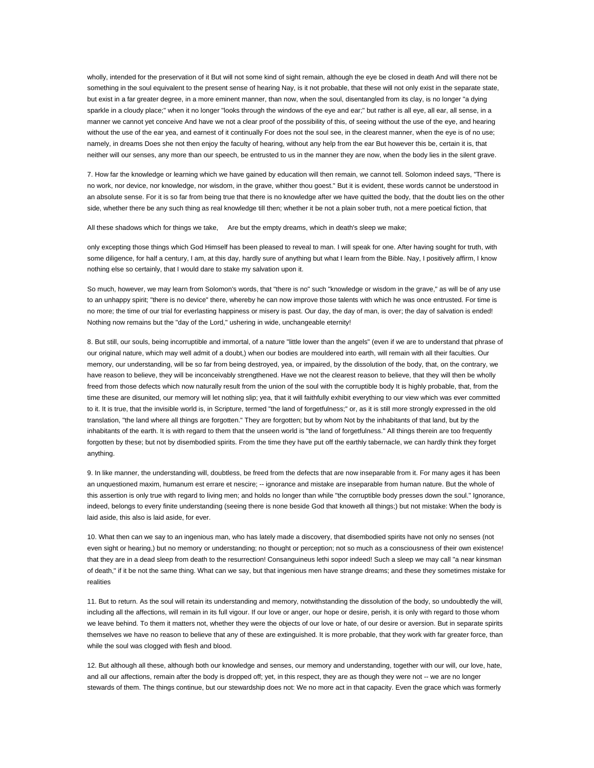wholly, intended for the preservation of it But will not some kind of sight remain, although the eye be closed in death And will there not be something in the soul equivalent to the present sense of hearing Nay, is it not probable, that these will not only exist in the separate state, but exist in a far greater degree, in a more eminent manner, than now, when the soul, disentangled from its clay, is no longer "a dying sparkle in a cloudy place;" when it no longer "looks through the windows of the eye and ear;" but rather is all eye, all ear, all sense, in a manner we cannot yet conceive And have we not a clear proof of the possibility of this, of seeing without the use of the eye, and hearing without the use of the ear yea, and earnest of it continually For does not the soul see, in the clearest manner, when the eye is of no use; namely, in dreams Does she not then enjoy the faculty of hearing, without any help from the ear But however this be, certain it is, that neither will our senses, any more than our speech, be entrusted to us in the manner they are now, when the body lies in the silent grave.

7. How far the knowledge or learning which we have gained by education will then remain, we cannot tell. Solomon indeed says, "There is no work, nor device, nor knowledge, nor wisdom, in the grave, whither thou goest." But it is evident, these words cannot be understood in an absolute sense. For it is so far from being true that there is no knowledge after we have quitted the body, that the doubt lies on the other side, whether there be any such thing as real knowledge till then; whether it be not a plain sober truth, not a mere poetical fiction, that

All these shadows which for things we take, Are but the empty dreams, which in death's sleep we make;

only excepting those things which God Himself has been pleased to reveal to man. I will speak for one. After having sought for truth, with some diligence, for half a century, I am, at this day, hardly sure of anything but what I learn from the Bible. Nay, I positively affirm, I know nothing else so certainly, that I would dare to stake my salvation upon it.

So much, however, we may learn from Solomon's words, that "there is no" such "knowledge or wisdom in the grave," as will be of any use to an unhappy spirit; "there is no device" there, whereby he can now improve those talents with which he was once entrusted. For time is no more; the time of our trial for everlasting happiness or misery is past. Our day, the day of man, is over; the day of salvation is ended! Nothing now remains but the "day of the Lord," ushering in wide, unchangeable eternity!

8. But still, our souls, being incorruptible and immortal, of a nature "little lower than the angels" (even if we are to understand that phrase of our original nature, which may well admit of a doubt,) when our bodies are mouldered into earth, will remain with all their faculties. Our memory, our understanding, will be so far from being destroyed, yea, or impaired, by the dissolution of the body, that, on the contrary, we have reason to believe, they will be inconceivably strengthened. Have we not the clearest reason to believe, that they will then be wholly freed from those defects which now naturally result from the union of the soul with the corruptible body It is highly probable, that, from the time these are disunited, our memory will let nothing slip; yea, that it will faithfully exhibit everything to our view which was ever committed to it. It is true, that the invisible world is, in Scripture, termed "the land of forgetfulness;" or, as it is still more strongly expressed in the old translation, "the land where all things are forgotten." They are forgotten; but by whom Not by the inhabitants of that land, but by the inhabitants of the earth. It is with regard to them that the unseen world is "the land of forgetfulness." All things therein are too frequently forgotten by these; but not by disembodied spirits. From the time they have put off the earthly tabernacle, we can hardly think they forget anything.

9. In like manner, the understanding will, doubtless, be freed from the defects that are now inseparable from it. For many ages it has been an unquestioned maxim, humanum est errare et nescire; -- ignorance and mistake are inseparable from human nature. But the whole of this assertion is only true with regard to living men; and holds no longer than while "the corruptible body presses down the soul." Ignorance, indeed, belongs to every finite understanding (seeing there is none beside God that knoweth all things;) but not mistake: When the body is laid aside, this also is laid aside, for ever.

10. What then can we say to an ingenious man, who has lately made a discovery, that disembodied spirits have not only no senses (not even sight or hearing,) but no memory or understanding; no thought or perception; not so much as a consciousness of their own existence! that they are in a dead sleep from death to the resurrection! Consanguineus lethi sopor indeed! Such a sleep we may call "a near kinsman of death," if it be not the same thing. What can we say, but that ingenious men have strange dreams; and these they sometimes mistake for realities

11. But to return. As the soul will retain its understanding and memory, notwithstanding the dissolution of the body, so undoubtedly the will, including all the affections, will remain in its full vigour. If our love or anger, our hope or desire, perish, it is only with regard to those whom we leave behind. To them it matters not, whether they were the objects of our love or hate, of our desire or aversion. But in separate spirits themselves we have no reason to believe that any of these are extinguished. It is more probable, that they work with far greater force, than while the soul was clogged with flesh and blood.

12. But although all these, although both our knowledge and senses, our memory and understanding, together with our will, our love, hate, and all our affections, remain after the body is dropped off; yet, in this respect, they are as though they were not -- we are no longer stewards of them. The things continue, but our stewardship does not: We no more act in that capacity. Even the grace which was formerly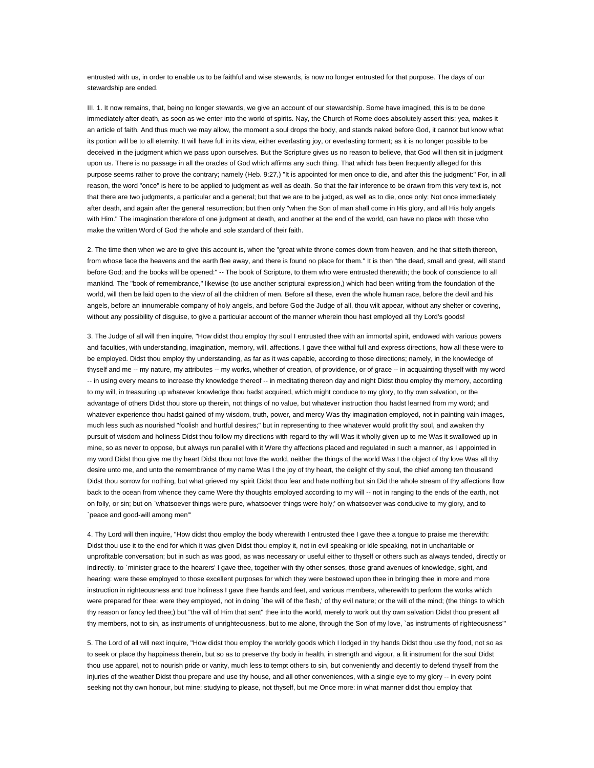entrusted with us, in order to enable us to be faithful and wise stewards, is now no longer entrusted for that purpose. The days of our stewardship are ended.

III. 1. It now remains, that, being no longer stewards, we give an account of our stewardship. Some have imagined, this is to be done immediately after death, as soon as we enter into the world of spirits. Nay, the Church of Rome does absolutely assert this; yea, makes it an article of faith. And thus much we may allow, the moment a soul drops the body, and stands naked before God, it cannot but know what its portion will be to all eternity. It will have full in its view, either everlasting joy, or everlasting torment; as it is no longer possible to be deceived in the judgment which we pass upon ourselves. But the Scripture gives us no reason to believe, that God will then sit in judgment upon us. There is no passage in all the oracles of God which affirms any such thing. That which has been frequently alleged for this purpose seems rather to prove the contrary; namely (Heb. 9:27,) "It is appointed for men once to die, and after this the judgment:" For, in all reason, the word "once" is here to be applied to judgment as well as death. So that the fair inference to be drawn from this very text is, not that there are two judgments, a particular and a general; but that we are to be judged, as well as to die, once only: Not once immediately after death, and again after the general resurrection; but then only "when the Son of man shall come in His glory, and all His holy angels with Him." The imagination therefore of one judgment at death, and another at the end of the world, can have no place with those who make the written Word of God the whole and sole standard of their faith.

2. The time then when we are to give this account is, when the "great white throne comes down from heaven, and he that sitteth thereon, from whose face the heavens and the earth flee away, and there is found no place for them." It is then "the dead, small and great, will stand before God; and the books will be opened:" -- The book of Scripture, to them who were entrusted therewith; the book of conscience to all mankind. The "book of remembrance," likewise (to use another scriptural expression,) which had been writing from the foundation of the world, will then be laid open to the view of all the children of men. Before all these, even the whole human race, before the devil and his angels, before an innumerable company of holy angels, and before God the Judge of all, thou wilt appear, without any shelter or covering, without any possibility of disguise, to give a particular account of the manner wherein thou hast employed all thy Lord's goods!

3. The Judge of all will then inquire, "How didst thou employ thy soul I entrusted thee with an immortal spirit, endowed with various powers and faculties, with understanding, imagination, memory, will, affections. I gave thee withal full and express directions, how all these were to be employed. Didst thou employ thy understanding, as far as it was capable, according to those directions; namely, in the knowledge of thyself and me -- my nature, my attributes -- my works, whether of creation, of providence, or of grace -- in acquainting thyself with my word -- in using every means to increase thy knowledge thereof -- in meditating thereon day and night Didst thou employ thy memory, according to my will, in treasuring up whatever knowledge thou hadst acquired, which might conduce to my glory, to thy own salvation, or the advantage of others Didst thou store up therein, not things of no value, but whatever instruction thou hadst learned from my word; and whatever experience thou hadst gained of my wisdom, truth, power, and mercy Was thy imagination employed, not in painting vain images, much less such as nourished "foolish and hurtful desires;" but in representing to thee whatever would profit thy soul, and awaken thy pursuit of wisdom and holiness Didst thou follow my directions with regard to thy will Was it wholly given up to me Was it swallowed up in mine, so as never to oppose, but always run parallel with it Were thy affections placed and regulated in such a manner, as I appointed in my word Didst thou give me thy heart Didst thou not love the world, neither the things of the world Was I the object of thy love Was all thy desire unto me, and unto the remembrance of my name Was I the joy of thy heart, the delight of thy soul, the chief among ten thousand Didst thou sorrow for nothing, but what grieved my spirit Didst thou fear and hate nothing but sin Did the whole stream of thy affections flow back to the ocean from whence they came Were thy thoughts employed according to my will -- not in ranging to the ends of the earth, not on folly, or sin; but on `whatsoever things were pure, whatsoever things were holy;' on whatsoever was conducive to my glory, and to `peace and good-will among men'"

4. Thy Lord will then inquire, "How didst thou employ the body wherewith I entrusted thee I gave thee a tongue to praise me therewith: Didst thou use it to the end for which it was given Didst thou employ it, not in evil speaking or idle speaking, not in uncharitable or unprofitable conversation; but in such as was good, as was necessary or useful either to thyself or others such as always tended, directly or indirectly, to `minister grace to the hearers' I gave thee, together with thy other senses, those grand avenues of knowledge, sight, and hearing: were these employed to those excellent purposes for which they were bestowed upon thee in bringing thee in more and more instruction in righteousness and true holiness I gave thee hands and feet, and various members, wherewith to perform the works which were prepared for thee: were they employed, not in doing `the will of the flesh,' of thy evil nature; or the will of the mind; (the things to which thy reason or fancy led thee;) but "the will of Him that sent" thee into the world, merely to work out thy own salvation Didst thou present all thy members, not to sin, as instruments of unrighteousness, but to me alone, through the Son of my love, `as instruments of righteousness'"

5. The Lord of all will next inquire, "How didst thou employ the worldly goods which I lodged in thy hands Didst thou use thy food, not so as to seek or place thy happiness therein, but so as to preserve thy body in health, in strength and vigour, a fit instrument for the soul Didst thou use apparel, not to nourish pride or vanity, much less to tempt others to sin, but conveniently and decently to defend thyself from the injuries of the weather Didst thou prepare and use thy house, and all other conveniences, with a single eye to my glory -- in every point seeking not thy own honour, but mine; studying to please, not thyself, but me Once more: in what manner didst thou employ that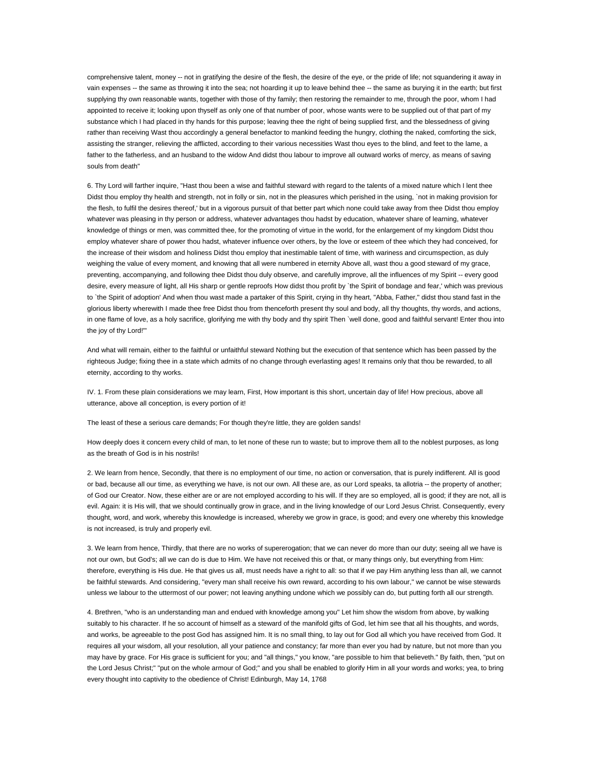comprehensive talent, money -- not in gratifying the desire of the flesh, the desire of the eye, or the pride of life; not squandering it away in vain expenses -- the same as throwing it into the sea; not hoarding it up to leave behind thee -- the same as burying it in the earth; but first supplying thy own reasonable wants, together with those of thy family; then restoring the remainder to me, through the poor, whom I had appointed to receive it; looking upon thyself as only one of that number of poor, whose wants were to be supplied out of that part of my substance which I had placed in thy hands for this purpose; leaving thee the right of being supplied first, and the blessedness of giving rather than receiving Wast thou accordingly a general benefactor to mankind feeding the hungry, clothing the naked, comforting the sick, assisting the stranger, relieving the afflicted, according to their various necessities Wast thou eyes to the blind, and feet to the lame, a father to the fatherless, and an husband to the widow And didst thou labour to improve all outward works of mercy, as means of saving souls from death"

6. Thy Lord will farther inquire, "Hast thou been a wise and faithful steward with regard to the talents of a mixed nature which I lent thee Didst thou employ thy health and strength, not in folly or sin, not in the pleasures which perished in the using, `not in making provision for the flesh, to fulfil the desires thereof,' but in a vigorous pursuit of that better part which none could take away from thee Didst thou employ whatever was pleasing in thy person or address, whatever advantages thou hadst by education, whatever share of learning, whatever knowledge of things or men, was committed thee, for the promoting of virtue in the world, for the enlargement of my kingdom Didst thou employ whatever share of power thou hadst, whatever influence over others, by the love or esteem of thee which they had conceived, for the increase of their wisdom and holiness Didst thou employ that inestimable talent of time, with wariness and circumspection, as duly weighing the value of every moment, and knowing that all were numbered in eternity Above all, wast thou a good steward of my grace, preventing, accompanying, and following thee Didst thou duly observe, and carefully improve, all the influences of my Spirit -- every good desire, every measure of light, all His sharp or gentle reproofs How didst thou profit by `the Spirit of bondage and fear,' which was previous to `the Spirit of adoption' And when thou wast made a partaker of this Spirit, crying in thy heart, "Abba, Father," didst thou stand fast in the glorious liberty wherewith I made thee free Didst thou from thenceforth present thy soul and body, all thy thoughts, thy words, and actions, in one flame of love, as a holy sacrifice, glorifying me with thy body and thy spirit Then `well done, good and faithful servant! Enter thou into the joy of thy Lord!'"

And what will remain, either to the faithful or unfaithful steward Nothing but the execution of that sentence which has been passed by the righteous Judge; fixing thee in a state which admits of no change through everlasting ages! It remains only that thou be rewarded, to all eternity, according to thy works.

IV. 1. From these plain considerations we may learn, First, How important is this short, uncertain day of life! How precious, above all utterance, above all conception, is every portion of it!

The least of these a serious care demands; For though they're little, they are golden sands!

How deeply does it concern every child of man, to let none of these run to waste; but to improve them all to the noblest purposes, as long as the breath of God is in his nostrils!

2. We learn from hence, Secondly, that there is no employment of our time, no action or conversation, that is purely indifferent. All is good or bad, because all our time, as everything we have, is not our own. All these are, as our Lord speaks, ta allotria -- the property of another; of God our Creator. Now, these either are or are not employed according to his will. If they are so employed, all is good; if they are not, all is evil. Again: it is His will, that we should continually grow in grace, and in the living knowledge of our Lord Jesus Christ. Consequently, every thought, word, and work, whereby this knowledge is increased, whereby we grow in grace, is good; and every one whereby this knowledge is not increased, is truly and properly evil.

3. We learn from hence, Thirdly, that there are no works of supererogation; that we can never do more than our duty; seeing all we have is not our own, but God's; all we can do is due to Him. We have not received this or that, or many things only, but everything from Him: therefore, everything is His due. He that gives us all, must needs have a right to all: so that if we pay Him anything less than all, we cannot be faithful stewards. And considering, "every man shall receive his own reward, according to his own labour," we cannot be wise stewards unless we labour to the uttermost of our power; not leaving anything undone which we possibly can do, but putting forth all our strength.

4. Brethren, "who is an understanding man and endued with knowledge among you" Let him show the wisdom from above, by walking suitably to his character. If he so account of himself as a steward of the manifold gifts of God, let him see that all his thoughts, and words, and works, be agreeable to the post God has assigned him. It is no small thing, to lay out for God all which you have received from God. It requires all your wisdom, all your resolution, all your patience and constancy; far more than ever you had by nature, but not more than you may have by grace. For His grace is sufficient for you; and "all things," you know, "are possible to him that believeth." By faith, then, "put on the Lord Jesus Christ;" "put on the whole armour of God;" and you shall be enabled to glorify Him in all your words and works; yea, to bring every thought into captivity to the obedience of Christ! Edinburgh, May 14, 1768